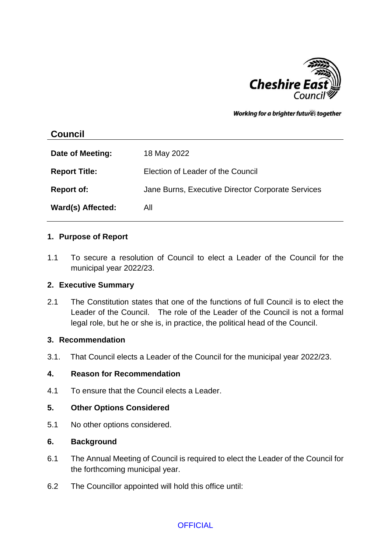

Working for a brighter futures together

# **Council**

| Date of Meeting:     | 18 May 2022                                       |
|----------------------|---------------------------------------------------|
| <b>Report Title:</b> | Election of Leader of the Council                 |
| <b>Report of:</b>    | Jane Burns, Executive Director Corporate Services |
| Ward(s) Affected:    | All                                               |

### **1. Purpose of Report**

1.1 To secure a resolution of Council to elect a Leader of the Council for the municipal year 2022/23.

### **2. Executive Summary**

2.1 The Constitution states that one of the functions of full Council is to elect the Leader of the Council. The role of the Leader of the Council is not a formal legal role, but he or she is, in practice, the political head of the Council.

### **3. Recommendation**

3.1. That Council elects a Leader of the Council for the municipal year 2022/23.

### **4. Reason for Recommendation**

4.1 To ensure that the Council elects a Leader.

### **5. Other Options Considered**

5.1 No other options considered.

### **6. Background**

- 6.1 The Annual Meeting of Council is required to elect the Leader of the Council for the forthcoming municipal year.
- 6.2 The Councillor appointed will hold this office until:

# **OFFICIAL**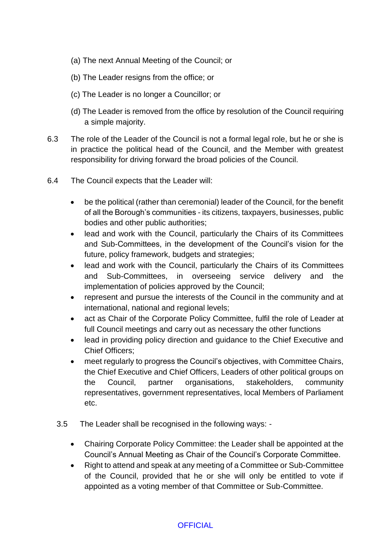- (a) The next Annual Meeting of the Council; or
- (b) The Leader resigns from the office; or
- (c) The Leader is no longer a Councillor; or
- (d) The Leader is removed from the office by resolution of the Council requiring a simple majority.
- 6.3 The role of the Leader of the Council is not a formal legal role, but he or she is in practice the political head of the Council, and the Member with greatest responsibility for driving forward the broad policies of the Council.
- 6.4 The Council expects that the Leader will:
	- be the political (rather than ceremonial) leader of the Council, for the benefit of all the Borough's communities - its citizens, taxpayers, businesses, public bodies and other public authorities;
	- lead and work with the Council, particularly the Chairs of its Committees and Sub-Committees, in the development of the Council's vision for the future, policy framework, budgets and strategies;
	- lead and work with the Council, particularly the Chairs of its Committees and Sub-Committees, in overseeing service delivery and the implementation of policies approved by the Council;
	- represent and pursue the interests of the Council in the community and at international, national and regional levels;
	- act as Chair of the Corporate Policy Committee, fulfil the role of Leader at full Council meetings and carry out as necessary the other functions
	- lead in providing policy direction and guidance to the Chief Executive and Chief Officers;
	- meet regularly to progress the Council's objectives, with Committee Chairs, the Chief Executive and Chief Officers, Leaders of other political groups on the Council, partner organisations, stakeholders, community representatives, government representatives, local Members of Parliament etc.
	- 3.5 The Leader shall be recognised in the following ways:
		- Chairing Corporate Policy Committee: the Leader shall be appointed at the Council's Annual Meeting as Chair of the Council's Corporate Committee.
		- Right to attend and speak at any meeting of a Committee or Sub-Committee of the Council, provided that he or she will only be entitled to vote if appointed as a voting member of that Committee or Sub-Committee.

# **OFFICIAL**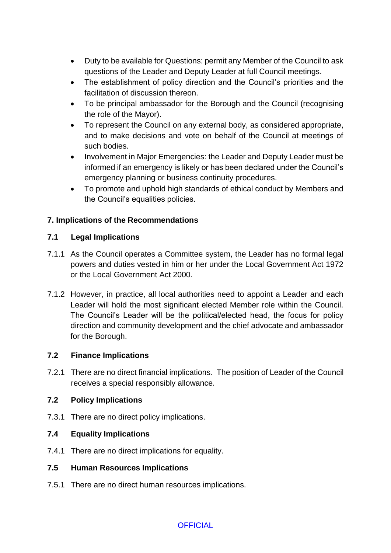- Duty to be available for Questions: permit any Member of the Council to ask questions of the Leader and Deputy Leader at full Council meetings.
- The establishment of policy direction and the Council's priorities and the facilitation of discussion thereon.
- To be principal ambassador for the Borough and the Council (recognising the role of the Mayor).
- To represent the Council on any external body, as considered appropriate, and to make decisions and vote on behalf of the Council at meetings of such bodies.
- Involvement in Major Emergencies: the Leader and Deputy Leader must be informed if an emergency is likely or has been declared under the Council's emergency planning or business continuity procedures.
- To promote and uphold high standards of ethical conduct by Members and the Council's equalities policies.

# **7. Implications of the Recommendations**

# **7.1 Legal Implications**

- 7.1.1 As the Council operates a Committee system, the Leader has no formal legal powers and duties vested in him or her under the Local Government Act 1972 or the Local Government Act 2000.
- 7.1.2 However, in practice, all local authorities need to appoint a Leader and each Leader will hold the most significant elected Member role within the Council. The Council's Leader will be the political/elected head, the focus for policy direction and community development and the chief advocate and ambassador for the Borough.

# **7.2 Finance Implications**

7.2.1 There are no direct financial implications. The position of Leader of the Council receives a special responsibly allowance.

### **7.2 Policy Implications**

7.3.1 There are no direct policy implications.

# **7.4 Equality Implications**

7.4.1 There are no direct implications for equality.

### **7.5 Human Resources Implications**

7.5.1 There are no direct human resources implications.